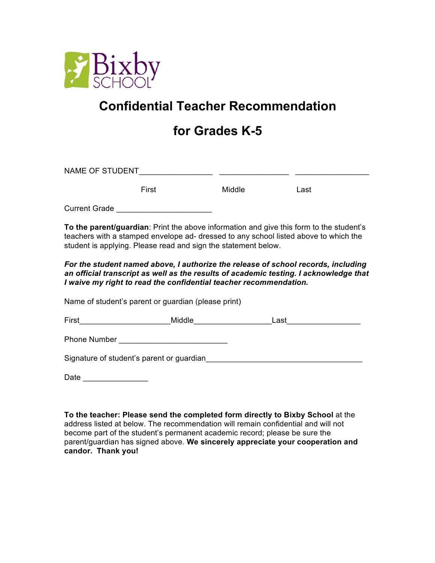

## **Confidential Teacher Recommendation**

## **for Grades K-5**

| NAME OF STUDENT                                                                         |        |      |
|-----------------------------------------------------------------------------------------|--------|------|
| First                                                                                   | Middle | Last |
| <b>Current Grade</b>                                                                    |        |      |
| To the parent/guardian: Print the above information and give this form to the student's |        |      |

teachers with a stamped envelope ad- dressed to any school listed above to which the student is applying. Please read and sign the statement below.

*For the student named above, I authorize the release of school records, including an official transcript as well as the results of academic testing. I acknowledge that I waive my right to read the confidential teacher recommendation.* 

Name of student's parent or guardian (please print)

| First | IVIIC | $\sim$ |
|-------|-------|--------|
|       |       |        |

Phone Number **Example 20** 

Signature of student's parent or guardian\_\_\_\_\_\_\_\_\_\_\_\_\_\_\_\_\_\_\_\_\_\_\_\_\_\_\_\_\_\_\_\_\_\_\_\_

Date \_\_\_\_\_\_\_\_\_\_\_\_\_\_\_

**To the teacher: Please send the completed form directly to Bixby School** at the address listed at below. The recommendation will remain confidential and will not become part of the student's permanent academic record; please be sure the parent/guardian has signed above. **We sincerely appreciate your cooperation and candor. Thank you!**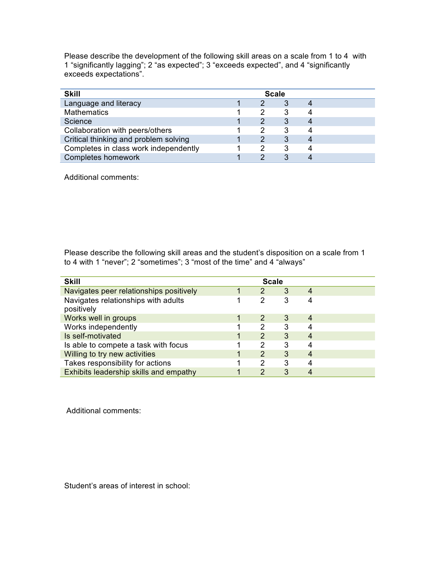Please describe the development of the following skill areas on a scale from 1 to 4 with 1 "significantly lagging"; 2 "as expected"; 3 "exceeds expected", and 4 "significantly exceeds expectations".

| <b>Skill</b>                          |  | <b>Scale</b> |  |
|---------------------------------------|--|--------------|--|
| Language and literacy                 |  |              |  |
| <b>Mathematics</b>                    |  |              |  |
| Science                               |  |              |  |
| Collaboration with peers/others       |  |              |  |
| Critical thinking and problem solving |  |              |  |
| Completes in class work independently |  |              |  |
| <b>Completes homework</b>             |  |              |  |

Additional comments:

Please describe the following skill areas and the student's disposition on a scale from 1 to 4 with 1 "never"; 2 "sometimes"; 3 "most of the time" and 4 "always"

| <b>Skill</b>                                      |               | <b>Scale</b> |   |  |
|---------------------------------------------------|---------------|--------------|---|--|
| Navigates peer relationships positively           | 2             | 3            |   |  |
| Navigates relationships with adults<br>positively | $\mathcal{P}$ | 3            |   |  |
| Works well in groups                              | $\mathcal{P}$ | 3            | 4 |  |
| Works independently                               | 2             | 3            |   |  |
| Is self-motivated                                 | $\mathcal{P}$ | 3            |   |  |
| Is able to compete a task with focus              | 2             | 3            |   |  |
| Willing to try new activities                     | $\mathcal{P}$ | 3            | 4 |  |
| Takes responsibility for actions                  | 2             | 3            |   |  |
| Exhibits leadership skills and empathy            | $\mathcal{P}$ | 3            |   |  |

Additional comments:

Student's areas of interest in school: